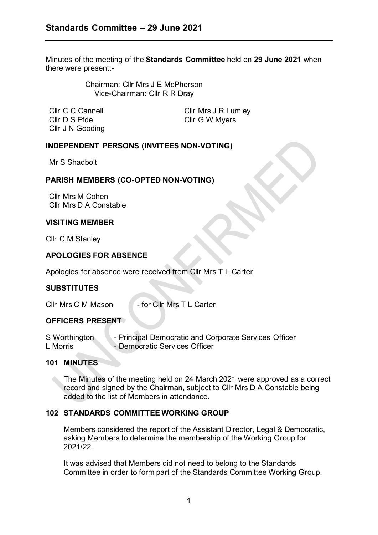Minutes of the meeting of the **Standards Committee** held on **29 June 2021** when there were present:-

> Chairman: Cllr Mrs J E McPherson Vice-Chairman: Cllr R R Dray

Cllr D S Efde Cllr G W Myers Cllr J N Gooding

Cllr C C Cannell Cllr Mrs J R Lumley

### **INDEPENDENT PERSONS (INVITEES NON-VOTING)**

Mr S Shadbolt

### **PARISH MEMBERS (CO-OPTED NON-VOTING)**

Cllr Mrs M Cohen Cllr Mrs D A Constable

#### **VISITING MEMBER**

Cllr C M Stanley

# **APOLOGIES FOR ABSENCE**

Apologies for absence were received from Cllr Mrs T L Carter

### **SUBSTITUTES**

Cllr Mrs C M Mason - for Cllr Mrs T L Carter

#### **OFFICERS PRESENT**

S Worthington - Principal Democratic and Corporate Services Officer<br>
L Morris - Democratic Services Officer - Democratic Services Officer

#### **101 MINUTES**

The Minutes of the meeting held on 24 March 2021 were approved as a correct record and signed by the Chairman, subject to Cllr Mrs D A Constable being added to the list of Members in attendance.

#### **102 STANDARDS COMMITTEE WORKING GROUP**

Members considered the report of the Assistant Director, Legal & Democratic, asking Members to determine the membership of the Working Group for 2021/22.

It was advised that Members did not need to belong to the Standards Committee in order to form part of the Standards Committee Working Group.